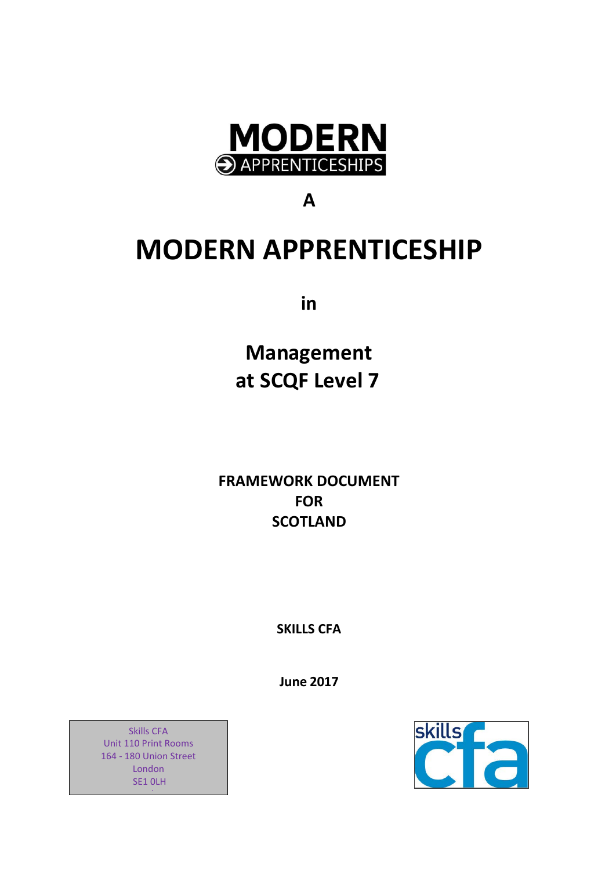

**A**

# **MODERN APPRENTICESHIP**

**in**

**Management at SCQF Level 7**

**FRAMEWORK DOCUMENT FOR SCOTLAND**

**SKILLS CFA**

**June 2017**



d

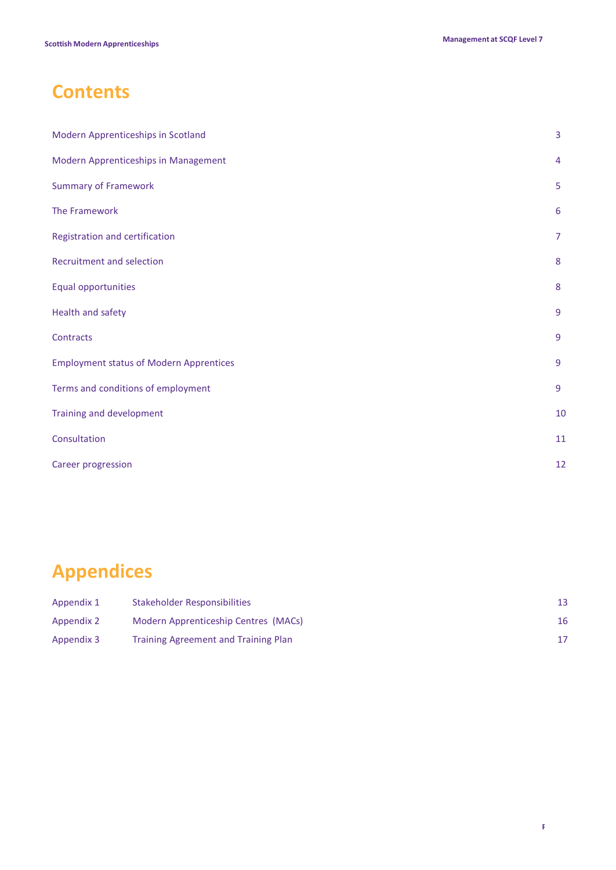# **Contents**

| Modern Apprenticeships in Scotland             | $\overline{3}$ |
|------------------------------------------------|----------------|
| Modern Apprenticeships in Management           | $\overline{4}$ |
| <b>Summary of Framework</b>                    | 5              |
| The Framework                                  | 6              |
| Registration and certification                 | $\overline{7}$ |
| Recruitment and selection                      | 8              |
| Equal opportunities                            | 8              |
| Health and safety                              | $\overline{9}$ |
| Contracts                                      | 9              |
| <b>Employment status of Modern Apprentices</b> | 9              |
| Terms and conditions of employment             | 9              |
| Training and development                       | 10             |
| Consultation                                   | 11             |
| Career progression                             | 12             |

# **Appendices**

| Appendix 1 | Stakeholder Responsibilities         |    |
|------------|--------------------------------------|----|
| Appendix 2 | Modern Apprenticeship Centres (MACs) | 16 |
| Appendix 3 | Training Agreement and Training Plan |    |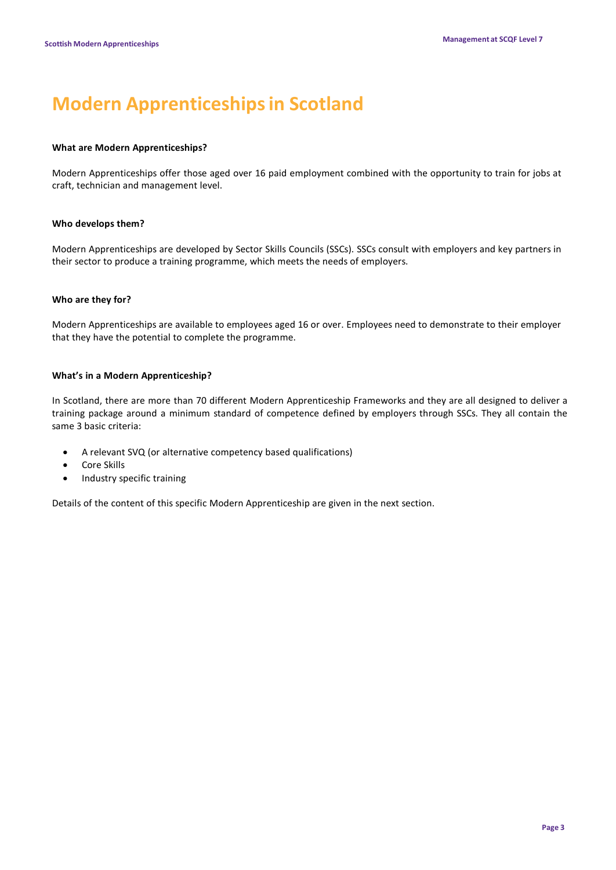# **Modern Apprenticeshipsin Scotland**

### **What are Modern Apprenticeships?**

Modern Apprenticeships offer those aged over 16 paid employment combined with the opportunity to train for jobs at craft, technician and management level.

### **Who develops them?**

Modern Apprenticeships are developed by Sector Skills Councils (SSCs). SSCs consult with employers and key partners in their sector to produce a training programme, which meets the needs of employers.

### **Who are they for?**

Modern Apprenticeships are available to employees aged 16 or over. Employees need to demonstrate to their employer that they have the potential to complete the programme.

### **What's in a Modern Apprenticeship?**

In Scotland, there are more than 70 different Modern Apprenticeship Frameworks and they are all designed to deliver a training package around a minimum standard of competence defined by employers through SSCs. They all contain the same 3 basic criteria:

- A relevant SVQ (or alternative competency based qualifications)
- Core Skills
- Industry specific training

Details of the content of this specific Modern Apprenticeship are given in the next section.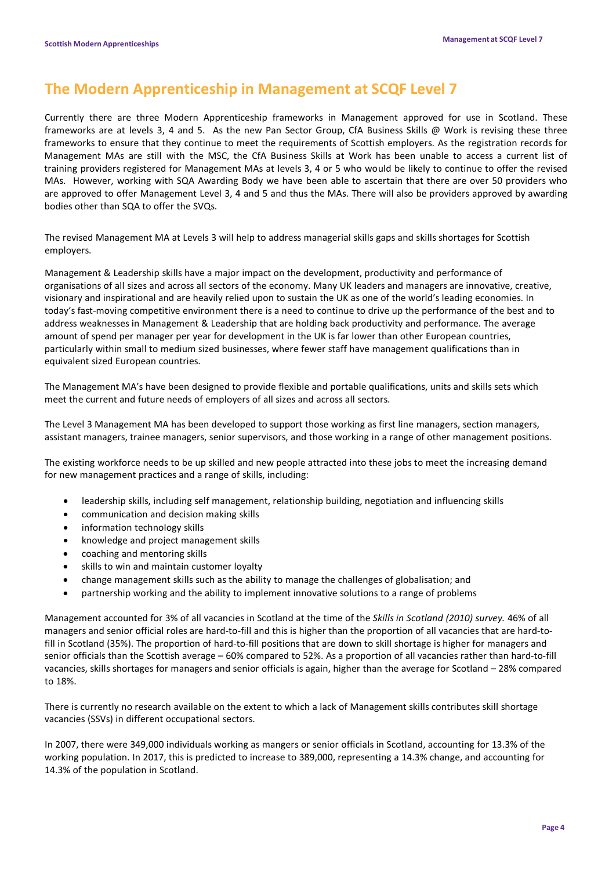# **The Modern Apprenticeship in Management at SCQF Level 7**

Currently there are three Modern Apprenticeship frameworks in Management approved for use in Scotland. These frameworks are at levels 3, 4 and 5. As the new Pan Sector Group, CfA Business Skills @ Work is revising these three frameworks to ensure that they continue to meet the requirements of Scottish employers. As the registration records for Management MAs are still with the MSC, the CfA Business Skills at Work has been unable to access a current list of training providers registered for Management MAs at levels 3, 4 or 5 who would be likely to continue to offer the revised MAs. However, working with SQA Awarding Body we have been able to ascertain that there are over 50 providers who are approved to offer Management Level 3, 4 and 5 and thus the MAs. There will also be providers approved by awarding bodies other than SQA to offer the SVQs.

The revised Management MA at Levels 3 will help to address managerial skills gaps and skills shortages for Scottish employers.

Management & Leadership skills have a major impact on the development, productivity and performance of organisations of all sizes and across all sectors of the economy. Many UK leaders and managers are innovative, creative, visionary and inspirational and are heavily relied upon to sustain the UK as one of the world's leading economies. In today's fast-moving competitive environment there is a need to continue to drive up the performance of the best and to address weaknesses in Management & Leadership that are holding back productivity and performance. The average amount of spend per manager per year for development in the UK is far lower than other European countries, particularly within small to medium sized businesses, where fewer staff have management qualifications than in equivalent sized European countries.

The Management MA's have been designed to provide flexible and portable qualifications, units and skills sets which meet the current and future needs of employers of all sizes and across all sectors.

The Level 3 Management MA has been developed to support those working as first line managers, section managers, assistant managers, trainee managers, senior supervisors, and those working in a range of other management positions.

The existing workforce needs to be up skilled and new people attracted into these jobs to meet the increasing demand for new management practices and a range of skills, including:

- leadership skills, including self management, relationship building, negotiation and influencing skills
- communication and decision making skills
- information technology skills
- knowledge and project management skills
- coaching and mentoring skills
- skills to win and maintain customer loyalty
- change management skills such as the ability to manage the challenges of globalisation; and
- partnership working and the ability to implement innovative solutions to a range of problems

Management accounted for 3% of all vacancies in Scotland at the time of the *Skills in Scotland (2010) survey.* 46% of all managers and senior official roles are hard-to-fill and this is higher than the proportion of all vacancies that are hard-tofill in Scotland (35%). The proportion of hard-to-fill positions that are down to skill shortage is higher for managers and senior officials than the Scottish average – 60% compared to 52%. As a proportion of all vacancies rather than hard-to-fill vacancies, skills shortages for managers and senior officials is again, higher than the average for Scotland – 28% compared to 18%.

There is currently no research available on the extent to which a lack of Management skills contributes skill shortage vacancies (SSVs) in different occupational sectors.

In 2007, there were 349,000 individuals working as mangers or senior officials in Scotland, accounting for 13.3% of the working population. In 2017, this is predicted to increase to 389,000, representing a 14.3% change, and accounting for 14.3% of the population in Scotland.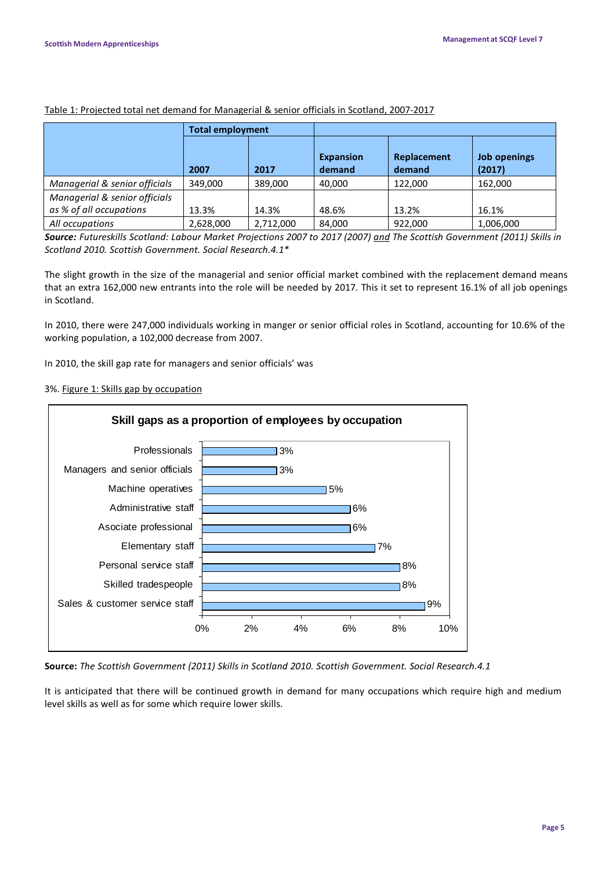|                                                          | <b>Total employment</b> |           |                            |                       |                        |
|----------------------------------------------------------|-------------------------|-----------|----------------------------|-----------------------|------------------------|
|                                                          | 2007                    | 2017      | <b>Expansion</b><br>demand | Replacement<br>demand | Job openings<br>(2017) |
| Managerial & senior officials                            | 349.000                 | 389.000   | 40.000                     | 122,000               | 162,000                |
| Managerial & senior officials<br>as % of all occupations | 13.3%                   | 14.3%     | 48.6%                      | 13.2%                 | 16.1%                  |
| All occupations                                          | 2,628,000               | 2,712,000 | 84,000                     | 922,000               | 1,006,000              |

#### Table 1: Projected total net demand for Managerial & senior officials in Scotland, 2007-2017

Source: Futureskills Scotland: Labour Market Projections 2007 to 2017 (2007) and The Scottish Government (2011) Skills in *Scotland 2010. Scottish Government. Social Research.4.1\**

The slight growth in the size of the managerial and senior official market combined with the replacement demand means that an extra 162,000 new entrants into the role will be needed by 2017. This it set to represent 16.1% of all job openings in Scotland.

In 2010, there were 247,000 individuals working in manger or senior official roles in Scotland, accounting for 10.6% of the working population, a 102,000 decrease from 2007.

In 2010, the skill gap rate for managers and senior officials' was

### 3%. Figure 1: Skills gap by occupation



**Source:** *The Scottish Government (2011) Skills in Scotland 2010. Scottish Government. Social Research.4.1*

It is anticipated that there will be continued growth in demand for many occupations which require high and medium level skills as well as for some which require lower skills.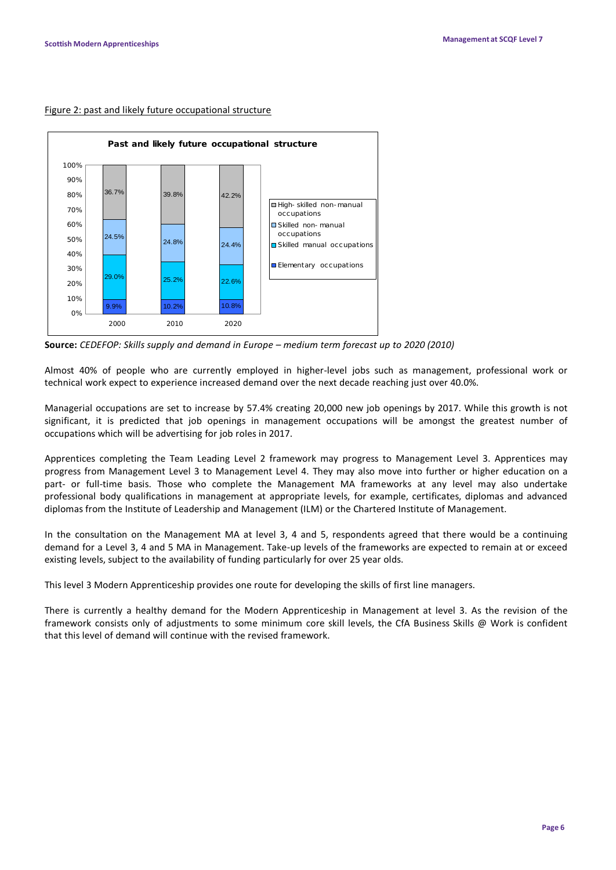### Figure 2: past and likely future occupational structure



**Source:** *CEDEFOP: Skills supply and demand in Europe – medium term forecast up to 2020 (2010)*

Almost 40% of people who are currently employed in higher-level jobs such as management, professional work or technical work expect to experience increased demand over the next decade reaching just over 40.0%.

Managerial occupations are set to increase by 57.4% creating 20,000 new job openings by 2017. While this growth is not significant, it is predicted that job openings in management occupations will be amongst the greatest number of occupations which will be advertising for job roles in 2017.

Apprentices completing the Team Leading Level 2 framework may progress to Management Level 3. Apprentices may progress from Management Level 3 to Management Level 4. They may also move into further or higher education on a part- or full-time basis. Those who complete the Management MA frameworks at any level may also undertake professional body qualifications in management at appropriate levels, for example, certificates, diplomas and advanced diplomas from the Institute of Leadership and Management (ILM) or the Chartered Institute of Management.

In the consultation on the Management MA at level 3, 4 and 5, respondents agreed that there would be a continuing demand for a Level 3, 4 and 5 MA in Management. Take-up levels of the frameworks are expected to remain at or exceed existing levels, subject to the availability of funding particularly for over 25 year olds.

This level 3 Modern Apprenticeship provides one route for developing the skills of first line managers.

There is currently a healthy demand for the Modern Apprenticeship in Management at level 3. As the revision of the framework consists only of adjustments to some minimum core skill levels, the CfA Business Skills @ Work is confident that this level of demand will continue with the revised framework.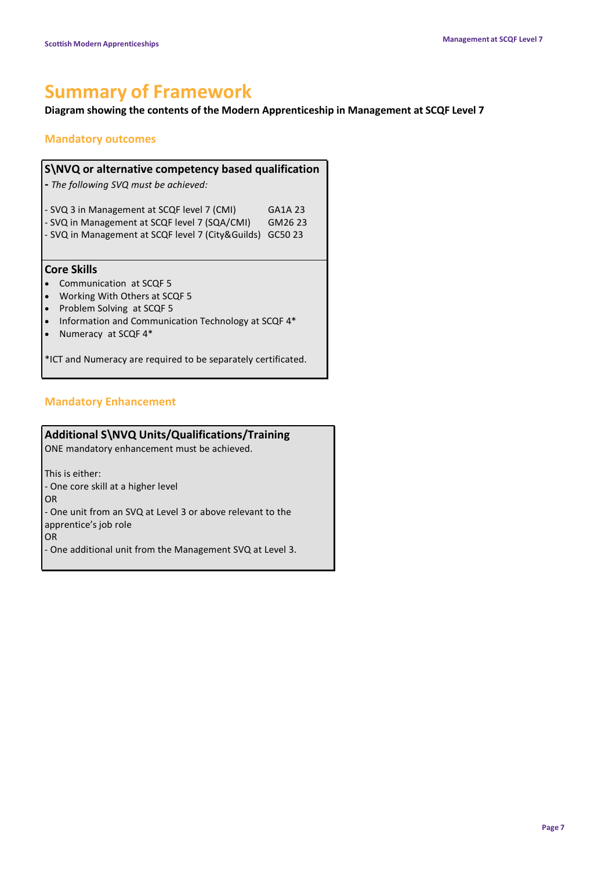# **Summary of Framework**

## **Diagram showing the contents of the Modern Apprenticeship in Management at SCQF Level 7**

## **Mandatory outcomes**

| S\NVQ or alternative competency based qualification |         |  |  |
|-----------------------------------------------------|---------|--|--|
| - The following SVQ must be achieved:               |         |  |  |
| - SVQ 3 in Management at SCQF level 7 (CMI)         | GA1A 23 |  |  |
| - SVQ in Management at SCQF level 7 (SQA/CMI)       | GM26 23 |  |  |
| - SVQ in Management at SCQF level 7 (City&Guilds)   | GC50 23 |  |  |

### **Core Skills**

- Communication at SCQF 5
- Working With Others at SCQF 5
- Problem Solving at SCQF 5
- Information and Communication Technology at SCQF 4\*
- Numeracy at SCQF 4\*

\*ICT and Numeracy are required to be separately certificated.

## **Mandatory Enhancement**

## **Additional S\NVQ Units/Qualifications/Training**

ONE mandatory enhancement must be achieved.

This is either:

- One core skill at a higher level

OR

- One unit from an SVQ at Level 3 or above relevant to the apprentice's job role

OR

- One additional unit from the Management SVQ at Level 3.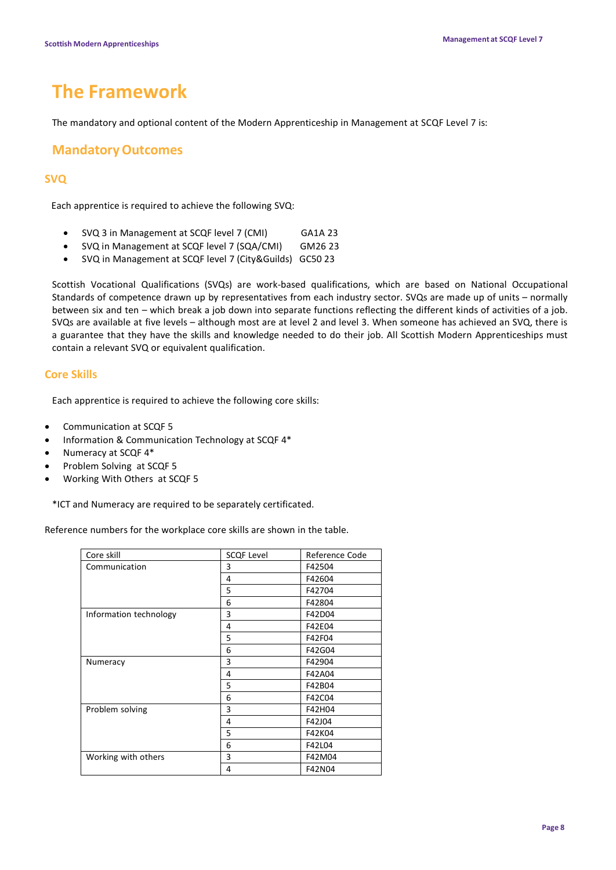# **The Framework**

The mandatory and optional content of the Modern Apprenticeship in Management at SCQF Level 7 is:

## **MandatoryOutcomes**

## **SVQ**

Each apprentice is required to achieve the following SVQ:

- SVQ 3 in Management at SCQF level 7 (CMI) GA1A 23
- SVQ in Management at SCQF level 7 (SQA/CMI) GM26 23
- SVQ in Management at SCQF level 7 (City&Guilds) GC50 23

Scottish Vocational Qualifications (SVQs) are work-based qualifications, which are based on National Occupational Standards of competence drawn up by representatives from each industry sector. SVQs are made up of units – normally between six and ten – which break a job down into separate functions reflecting the different kinds of activities of a job. SVQs are available at five levels – although most are at level 2 and level 3. When someone has achieved an SVQ, there is a guarantee that they have the skills and knowledge needed to do their job. All Scottish Modern Apprenticeships must contain a relevant SVQ or equivalent qualification.

### **Core Skills**

Each apprentice is required to achieve the following core skills:

- Communication at SCQF 5
- Information & Communication Technology at SCQF 4\*
- Numeracy at SCQF 4\*
- Problem Solving at SCQF 5
- Working With Others at SCQF 5

\*ICT and Numeracy are required to be separately certificated.

Reference numbers for the workplace core skills are shown in the table.

| Core skill             | <b>SCQF Level</b> | Reference Code |
|------------------------|-------------------|----------------|
| Communication          | 3                 | F42504         |
|                        | 4                 | F42604         |
|                        | 5                 | F42704         |
|                        | 6                 | F42804         |
| Information technology | 3                 | F42D04         |
|                        | 4                 | F42E04         |
|                        | 5                 | F42F04         |
|                        | 6                 | F42G04         |
| Numeracy               | 3                 | F42904         |
|                        | 4                 | F42A04         |
|                        | 5                 | F42B04         |
|                        | 6                 | F42C04         |
| Problem solving        | 3                 | F42H04         |
|                        | 4                 | F42J04         |
|                        | 5                 | F42K04         |
|                        | 6                 | F42L04         |
| Working with others    | 3                 | F42M04         |
|                        | 4                 | F42N04         |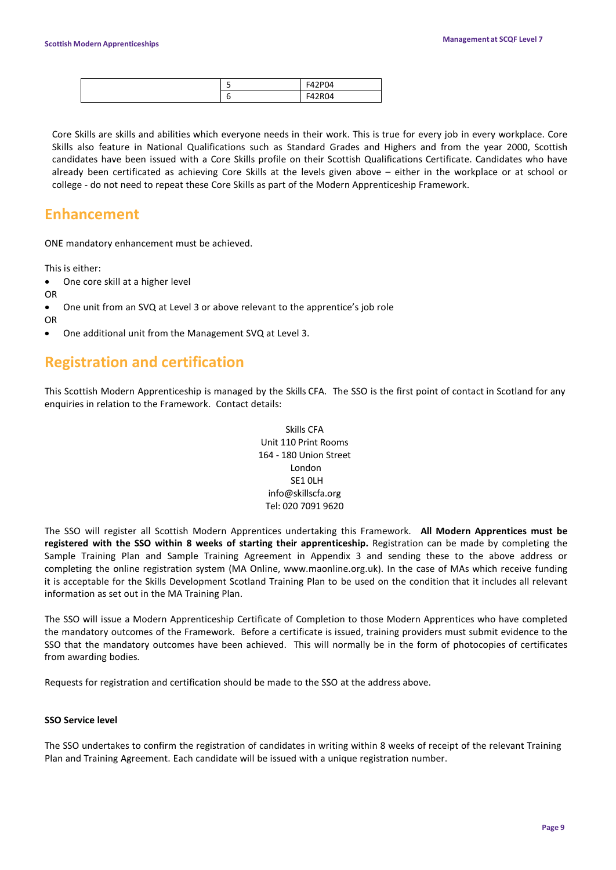|  | <b>P04</b><br>EA <sub>2</sub> |
|--|-------------------------------|
|  | R <sub>04</sub><br>-<br>-, .  |

Core Skills are skills and abilities which everyone needs in their work. This is true for every job in every workplace. Core Skills also feature in National Qualifications such as Standard Grades and Highers and from the year 2000, Scottish candidates have been issued with a Core Skills profile on their Scottish Qualifications Certificate. Candidates who have already been certificated as achieving Core Skills at the levels given above – either in the workplace or at school or college - do not need to repeat these Core Skills as part of the Modern Apprenticeship Framework.

# **Enhancement**

ONE mandatory enhancement must be achieved.

This is either:

- One core skill at a higher level
- OR
- One unit from an SVQ at Level 3 or above relevant to the apprentice's job role

OR

• One additional unit from the Management SVQ at Level 3.

# **Registration and certification**

This Scottish Modern Apprenticeship is managed by the Skills CFA. The SSO is the first point of contact in Scotland for any enquiries in relation to the Framework. Contact details:

> Skills CFA Unit 110 Print Rooms 164 - 180 Union Street London SE1 0LH info@skillscfa.org Tel: 020 7091 9620

The SSO will register all Scottish Modern Apprentices undertaking this Framework. **All Modern Apprentices must be registered with the SSO within 8 weeks of starting their apprenticeship.** Registration can be made by completing the Sample Training Plan and Sample Training Agreement in Appendix 3 and sending these to the above address or completing the online registration system (MA Online, www.maonline.org.uk). In the case of MAs which receive funding it is acceptable for the Skills Development Scotland Training Plan to be used on the condition that it includes all relevant information as set out in the MA Training Plan.

The SSO will issue a Modern Apprenticeship Certificate of Completion to those Modern Apprentices who have completed the mandatory outcomes of the Framework. Before a certificate is issued, training providers must submit evidence to the SSO that the mandatory outcomes have been achieved. This will normally be in the form of photocopies of certificates from awarding bodies.

Requests for registration and certification should be made to the SSO at the address above.

### **SSO Service level**

The SSO undertakes to confirm the registration of candidates in writing within 8 weeks of receipt of the relevant Training Plan and Training Agreement. Each candidate will be issued with a unique registration number.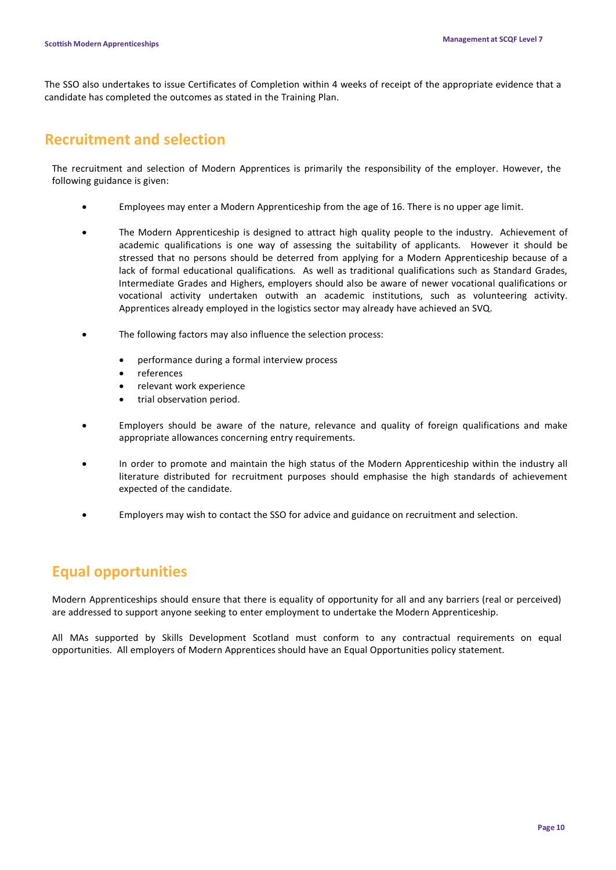The SSO also undertakes to issue Certificates of Completion within 4 weeks of receipt of the appropriate evidence that a candidate has completed the outcomes as stated in the Training Plan.

# **Recruitment and selection**

The recruitment and selection of Modern Apprentices is primarily the responsibility of the employer. However, the following guidance is given:

- Employees may enter a Modern Apprenticeship from the age of 16. There is no upper age limit.
- The Modern Apprenticeship is designed to attract high quality people to the industry. Achievement of academic qualifications is one way of assessing the suitability of applicants. However it should be stressed that no persons should be deterred from applying for a Modern Apprenticeship because of a lack of formal educational qualifications. As well as traditional qualifications such as Standard Grades, Intermediate Grades and Highers, employers should also be aware of newer vocational qualifications or vocational activity undertaken outwith an academic institutions, such as volunteering activity. Apprentices already employed in the logistics sector may already have achieved an SVQ.
- The following factors may also influence the selection process:
	- performance during a formal interview process
	- references
	- relevant work experience
	- trial observation period.
- Employers should be aware of the nature, relevance and quality of foreign qualifications and make appropriate allowances concerning entry requirements.
- In order to promote and maintain the high status of the Modern Apprenticeship within the industry all literature distributed for recruitment purposes should emphasise the high standards of achievement expected of the candidate.
- Employers may wish to contact the SSO for advice and guidance on recruitment and selection.

# **Equal opportunities**

Modern Apprenticeships should ensure that there is equality of opportunity for all and any barriers (real or perceived) are addressed to support anyone seeking to enter employment to undertake the Modern Apprenticeship.

All MAs supported by Skills Development Scotland must conform to any contractual requirements on equal opportunities. All employers of Modern Apprentices should have an Equal Opportunities policy statement.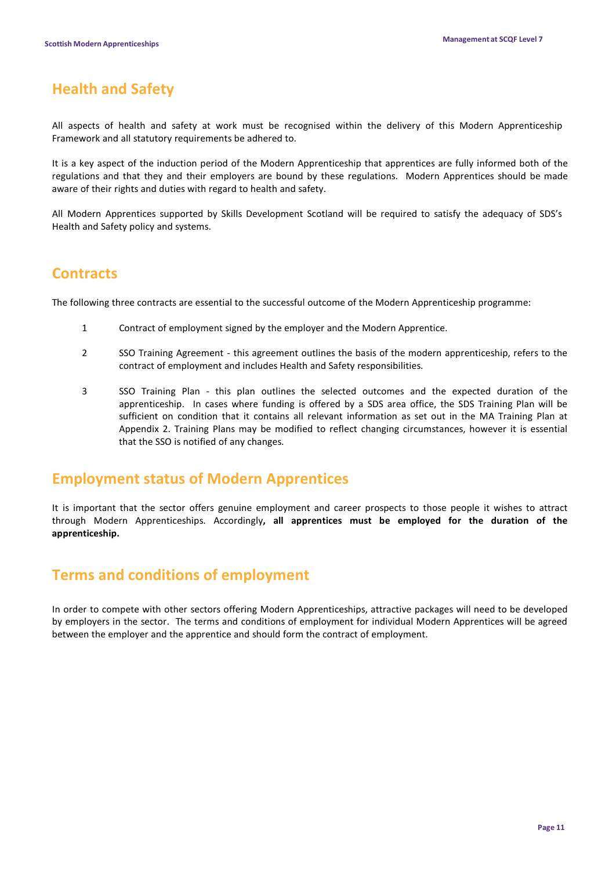# **Health and Safety**

All aspects of health and safety at work must be recognised within the delivery of this Modern Apprenticeship Framework and all statutory requirements be adhered to.

It is a key aspect of the induction period of the Modern Apprenticeship that apprentices are fully informed both of the regulations and that they and their employers are bound by these regulations. Modern Apprentices should be made aware of their rights and duties with regard to health and safety.

All Modern Apprentices supported by Skills Development Scotland will be required to satisfy the adequacy of SDS's Health and Safety policy and systems.

# **Contracts**

The following three contracts are essential to the successful outcome of the Modern Apprenticeship programme:

- 1 Contract of employment signed by the employer and the Modern Apprentice.
- 2 SSO Training Agreement this agreement outlines the basis of the modern apprenticeship, refers to the contract of employment and includes Health and Safety responsibilities.
- 3 SSO Training Plan this plan outlines the selected outcomes and the expected duration of the apprenticeship. In cases where funding is offered by a SDS area office, the SDS Training Plan will be sufficient on condition that it contains all relevant information as set out in the MA Training Plan at Appendix 2. Training Plans may be modified to reflect changing circumstances, however it is essential that the SSO is notified of any changes.

# **Employment status of Modern Apprentices**

It is important that the sector offers genuine employment and career prospects to those people it wishes to attract through Modern Apprenticeships. Accordingly**, all apprentices must be employed for the duration of the apprenticeship.**

# **Terms and conditions of employment**

In order to compete with other sectors offering Modern Apprenticeships, attractive packages will need to be developed by employers in the sector. The terms and conditions of employment for individual Modern Apprentices will be agreed between the employer and the apprentice and should form the contract of employment.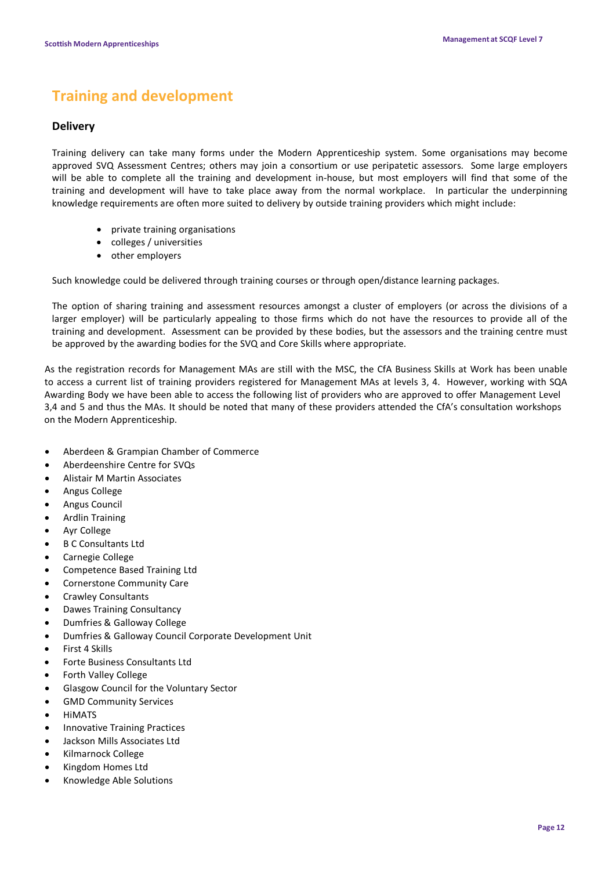# **Training and development**

### **Delivery**

Training delivery can take many forms under the Modern Apprenticeship system. Some organisations may become approved SVQ Assessment Centres; others may join a consortium or use peripatetic assessors. Some large employers will be able to complete all the training and development in-house, but most employers will find that some of the training and development will have to take place away from the normal workplace. In particular the underpinning knowledge requirements are often more suited to delivery by outside training providers which might include:

- private training organisations
- colleges / universities
- other employers

Such knowledge could be delivered through training courses or through open/distance learning packages.

The option of sharing training and assessment resources amongst a cluster of employers (or across the divisions of a larger employer) will be particularly appealing to those firms which do not have the resources to provide all of the training and development. Assessment can be provided by these bodies, but the assessors and the training centre must be approved by the awarding bodies for the SVQ and Core Skills where appropriate.

As the registration records for Management MAs are still with the MSC, the CfA Business Skills at Work has been unable to access a current list of training providers registered for Management MAs at levels 3, 4. However, working with SQA Awarding Body we have been able to access the following list of providers who are approved to offer Management Level 3,4 and 5 and thus the MAs. It should be noted that many of these providers attended the CfA's consultation workshops on the Modern Apprenticeship.

- Aberdeen & Grampian Chamber of Commerce
- Aberdeenshire Centre for SVQs
- Alistair M Martin Associates
- Angus College
- Angus Council
- Ardlin Training
- Ayr College
- B C Consultants Ltd
- Carnegie College
- Competence Based Training Ltd
- Cornerstone Community Care
- Crawley Consultants
- Dawes Training Consultancy
- Dumfries & Galloway College
- Dumfries & Galloway Council Corporate Development Unit
- First 4 Skills
- Forte Business Consultants Ltd
- Forth Valley College
- Glasgow Council for the Voluntary Sector
- GMD Community Services
- HiMATS
- Innovative Training Practices
- Jackson Mills Associates Ltd
- Kilmarnock College
- Kingdom Homes Ltd
- Knowledge Able Solutions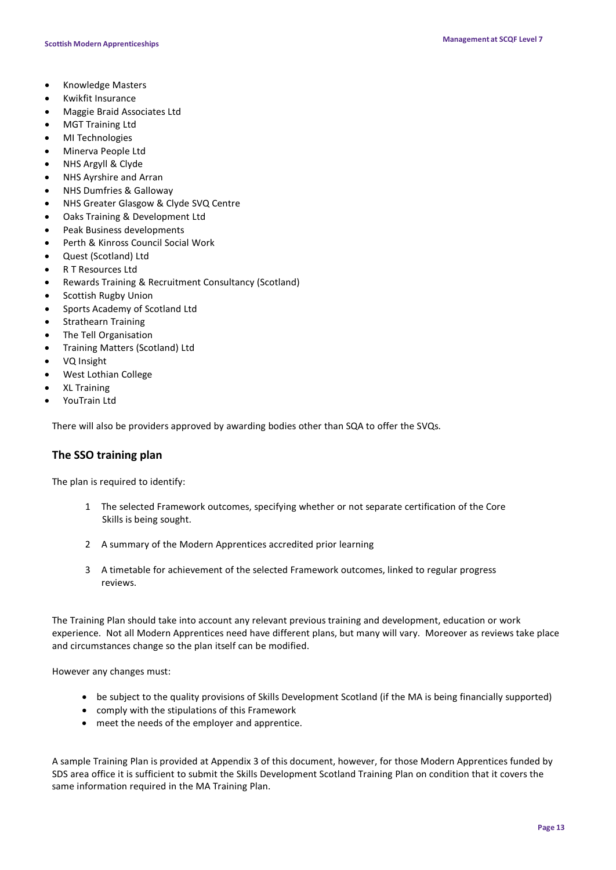- Knowledge Masters
- Kwikfit Insurance
- Maggie Braid Associates Ltd
- MGT Training Ltd
- MI Technologies
- Minerva People Ltd
- NHS Argyll & Clyde
- NHS Ayrshire and Arran
- NHS Dumfries & Galloway
- NHS Greater Glasgow & Clyde SVQ Centre
- Oaks Training & Development Ltd
- Peak Business developments
- Perth & Kinross Council Social Work
- Quest (Scotland) Ltd
- R T Resources Ltd
- Rewards Training & Recruitment Consultancy (Scotland)
- Scottish Rugby Union
- Sports Academy of Scotland Ltd
- Strathearn Training
- The Tell Organisation
- Training Matters (Scotland) Ltd
- VQ Insight
- West Lothian College
- XL Training
- YouTrain Ltd

There will also be providers approved by awarding bodies other than SQA to offer the SVQs.

### **The SSO training plan**

The plan is required to identify:

- 1 The selected Framework outcomes, specifying whether or not separate certification of the Core Skills is being sought.
- 2 A summary of the Modern Apprentices accredited prior learning
- 3 A timetable for achievement of the selected Framework outcomes, linked to regular progress reviews.

The Training Plan should take into account any relevant previous training and development, education or work experience. Not all Modern Apprentices need have different plans, but many will vary. Moreover as reviews take place and circumstances change so the plan itself can be modified.

However any changes must:

- be subject to the quality provisions of Skills Development Scotland (if the MA is being financially supported)
- comply with the stipulations of this Framework
- meet the needs of the employer and apprentice.

A sample Training Plan is provided at Appendix 3 of this document, however, for those Modern Apprentices funded by SDS area office it is sufficient to submit the Skills Development Scotland Training Plan on condition that it covers the same information required in the MA Training Plan.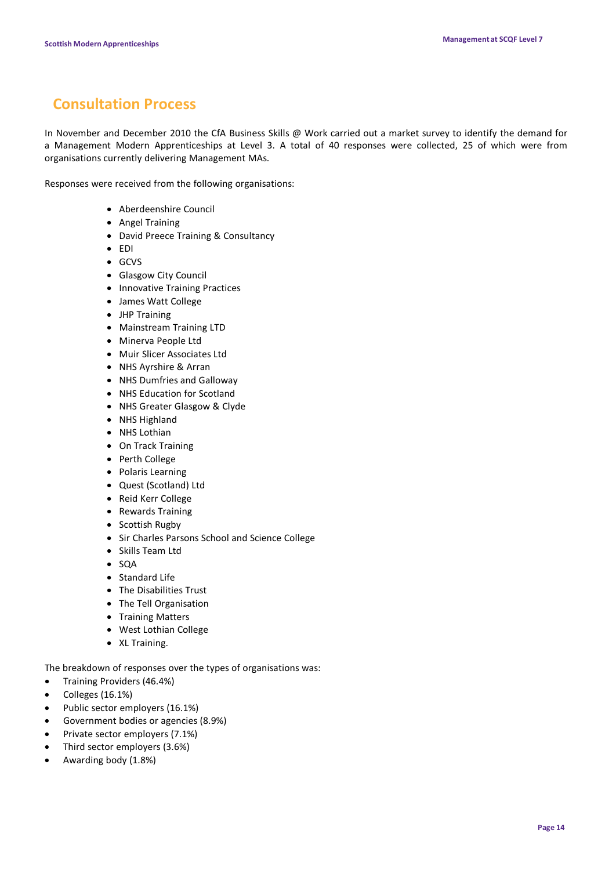# **Consultation Process**

In November and December 2010 the CfA Business Skills @ Work carried out a market survey to identify the demand for a Management Modern Apprenticeships at Level 3. A total of 40 responses were collected, 25 of which were from organisations currently delivering Management MAs.

Responses were received from the following organisations:

- Aberdeenshire Council
- Angel Training
- David Preece Training & Consultancy
- EDI
- GCVS
- Glasgow City Council
- Innovative Training Practices
- James Watt College
- JHP Training
- Mainstream Training LTD
- Minerva People Ltd
- Muir Slicer Associates Ltd
- NHS Ayrshire & Arran
- NHS Dumfries and Galloway
- NHS Education for Scotland
- NHS Greater Glasgow & Clyde
- NHS Highland
- NHS Lothian
- On Track Training
- Perth College
- Polaris Learning
- Quest (Scotland) Ltd
- Reid Kerr College
- Rewards Training
- Scottish Rugby
- Sir Charles Parsons School and Science College
- Skills Team Ltd
- SQA
- Standard Life
- The Disabilities Trust
- The Tell Organisation
- Training Matters
- West Lothian College
- XL Training.

The breakdown of responses over the types of organisations was:

- Training Providers (46.4%)
- Colleges (16.1%)
- Public sector employers (16.1%)
- Government bodies or agencies (8.9%)
- Private sector employers (7.1%)
- Third sector employers (3.6%)
- Awarding body (1.8%)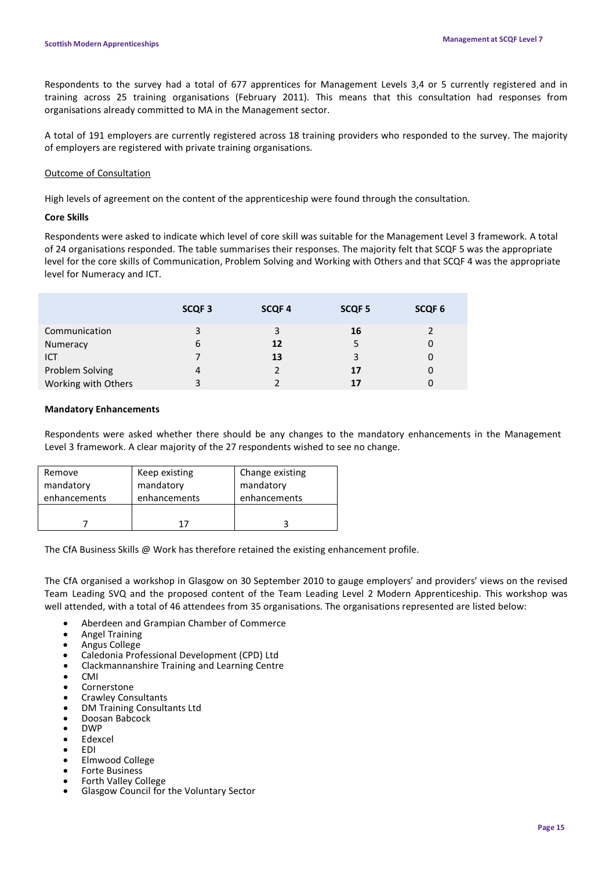Respondents to the survey had a total of 677 apprentices for Management Levels 3,4 or 5 currently registered and in training across 25 training organisations (February 2011). This means that this consultation had responses from organisations already committed to MA in the Management sector.

A total of 191 employers are currently registered across 18 training providers who responded to the survey. The majority of employers are registered with private training organisations.

### Outcome of Consultation

High levels of agreement on the content of the apprenticeship were found through the consultation.

### **Core Skills**

Respondents were asked to indicate which level of core skill was suitable for the Management Level 3 framework. A total of 24 organisations responded. The table summarises their responses. The majority felt that SCQF 5 was the appropriate level for the core skills of Communication, Problem Solving and Working with Others and that SCQF 4 was the appropriate level for Numeracy and ICT.

|                     | SCQF <sub>3</sub> | <b>SCQF4</b> | SCQF <sub>5</sub> | SCQF <sub>6</sub> |
|---------------------|-------------------|--------------|-------------------|-------------------|
| Communication       | 3                 | 3            | 16                |                   |
| Numeracy            | 6                 | 12           | 5                 |                   |
| ICT                 |                   | 13           | 3                 |                   |
| Problem Solving     | 4                 |              | 17                |                   |
| Working with Others | 3                 |              | 17                |                   |

### **Mandatory Enhancements**

Respondents were asked whether there should be any changes to the mandatory enhancements in the Management Level 3 framework. A clear majority of the 27 respondents wished to see no change.

| Remove       | Keep existing | Change existing |
|--------------|---------------|-----------------|
| mandatory    | mandatory     | mandatory       |
| enhancements | enhancements  | enhancements    |
|              | 17            |                 |

The CfA Business Skills @ Work has therefore retained the existing enhancement profile.

The CfA organised a workshop in Glasgow on 30 September 2010 to gauge employers' and providers' views on the revised Team Leading SVQ and the proposed content of the Team Leading Level 2 Modern Apprenticeship. This workshop was well attended, with a total of 46 attendees from 35 organisations. The organisations represented are listed below:

- Aberdeen and Grampian Chamber of Commerce
- Angel Training
- Angus College
- Caledonia Professional Development (CPD) Ltd
- Clackmannanshire Training and Learning Centre
- CMI
- **Cornerstone**
- Crawley Consultants
- DM Training Consultants Ltd
- Doosan Babcock
- DWP
- **Edexcel**
- EDI
- Elmwood College
- Forte Business<br>Forth Valley College
- Glasgow Council for the Voluntary Sector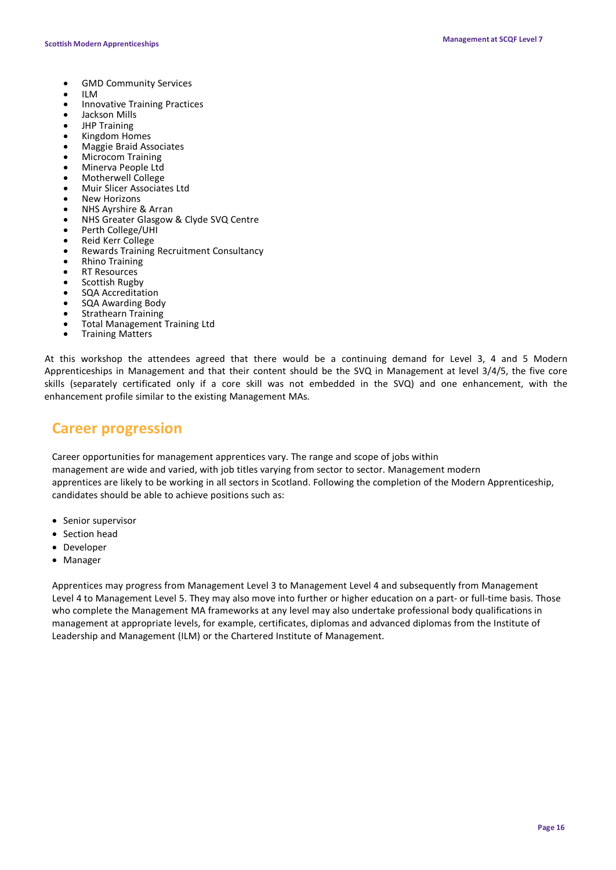- GMD Community Services
- ILM
- Innovative Training Practices
- Jackson Mills
- JHP Training
- Kingdom Homes
- Maggie Braid Associates
- Microcom Training
- Minerva People Ltd
- Motherwell College
- Muir Slicer Associates Ltd
- **New Horizons**
- NHS Ayrshire & Arran
- NHS Greater Glasgow & Clyde SVQ Centre
- Perth College/UHI
- Reid Kerr College
- Rewards Training Recruitment Consultancy
- Rhino Training
- **RT Resources**
- Scottish Rugby
- SQA Accreditation
- SQA Awarding Body
- **Strathearn Training**
- Total Management Training Ltd Training Matters
- 

At this workshop the attendees agreed that there would be a continuing demand for Level 3, 4 and 5 Modern Apprenticeships in Management and that their content should be the SVQ in Management at level 3/4/5, the five core skills (separately certificated only if a core skill was not embedded in the SVQ) and one enhancement, with the enhancement profile similar to the existing Management MAs.

# **Career progression**

Career opportunities for management apprentices vary. The range and scope of jobs within management are wide and varied, with job titles varying from sector to sector. Management modern apprentices are likely to be working in all sectors in Scotland. Following the completion of the Modern Apprenticeship, candidates should be able to achieve positions such as:

- Senior supervisor
- Section head
- Developer
- Manager

Apprentices may progress from Management Level 3 to Management Level 4 and subsequently from Management Level 4 to Management Level 5. They may also move into further or higher education on a part- or full-time basis. Those who complete the Management MA frameworks at any level may also undertake professional body qualifications in management at appropriate levels, for example, certificates, diplomas and advanced diplomas from the Institute of Leadership and Management (ILM) or the Chartered Institute of Management.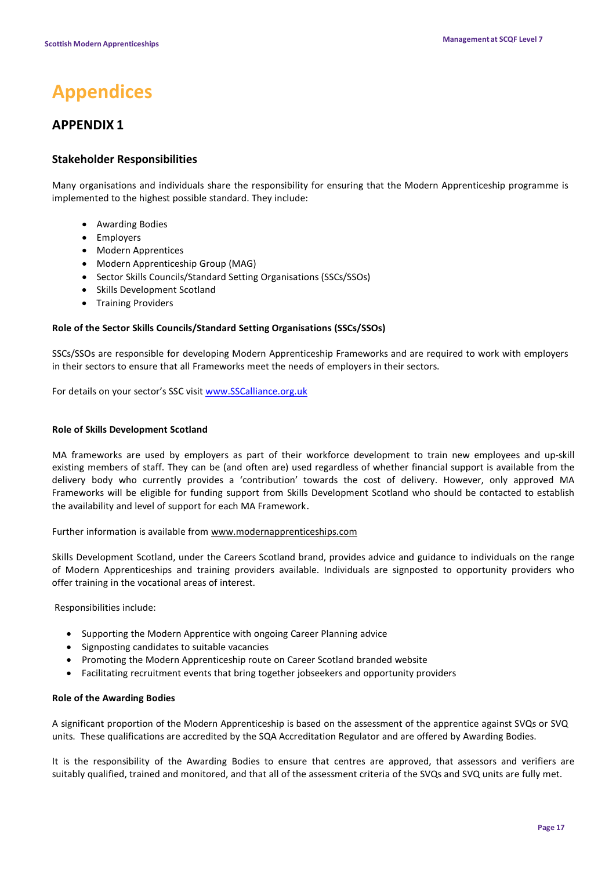# **Appendices**

# **APPENDIX 1**

## **Stakeholder Responsibilities**

Many organisations and individuals share the responsibility for ensuring that the Modern Apprenticeship programme is implemented to the highest possible standard. They include:

- Awarding Bodies
- Employers
- Modern Apprentices
- Modern Apprenticeship Group (MAG)
- Sector Skills Councils/Standard Setting Organisations (SSCs/SSOs)
- Skills Development Scotland
- Training Providers

### **Role of the Sector Skills Councils/Standard Setting Organisations (SSCs/SSOs)**

SSCs/SSOs are responsible for developing Modern Apprenticeship Frameworks and are required to work with employers in their sectors to ensure that all Frameworks meet the needs of employers in their sectors.

For details on your sector's SSC visi[t www.SSCalliance.org.uk](http://www.sscalliance.org.uk/)

### **Role of Skills Development Scotland**

MA frameworks are used by employers as part of their workforce development to train new employees and up-skill existing members of staff. They can be (and often are) used regardless of whether financial support is available from the delivery body who currently provides a 'contribution' towards the cost of delivery. However, only approved MA Frameworks will be eligible for funding support from Skills Development Scotland who should be contacted to establish the availability and level of support for each MA Framework.

Further information is available from [www.modernapprenticeships.com](http://www.modernapprenticeships.com/)

Skills Development Scotland, under the Careers Scotland brand, provides advice and guidance to individuals on the range of Modern Apprenticeships and training providers available. Individuals are signposted to opportunity providers who offer training in the vocational areas of interest.

Responsibilities include:

- Supporting the Modern Apprentice with ongoing Career Planning advice
- Signposting candidates to suitable vacancies
- Promoting the Modern Apprenticeship route on Career Scotland branded website
- Facilitating recruitment events that bring together jobseekers and opportunity providers

### **Role of the Awarding Bodies**

A significant proportion of the Modern Apprenticeship is based on the assessment of the apprentice against SVQs or SVQ units. These qualifications are accredited by the SQA Accreditation Regulator and are offered by Awarding Bodies.

It is the responsibility of the Awarding Bodies to ensure that centres are approved, that assessors and verifiers are suitably qualified, trained and monitored, and that all of the assessment criteria of the SVQs and SVQ units are fully met.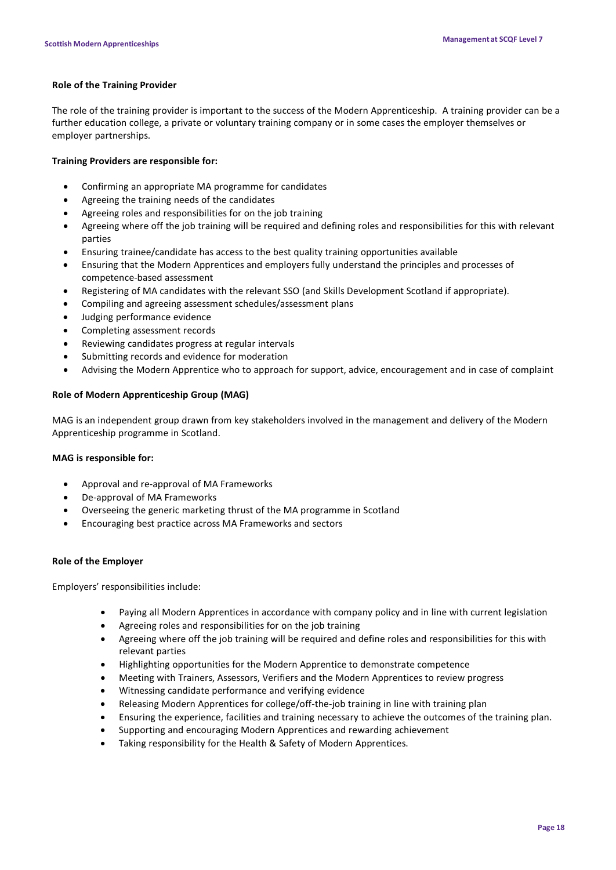### **Role of the Training Provider**

The role of the training provider is important to the success of the Modern Apprenticeship. A training provider can be a further education college, a private or voluntary training company or in some cases the employer themselves or employer partnerships.

### **Training Providers are responsible for:**

- Confirming an appropriate MA programme for candidates
- Agreeing the training needs of the candidates
- Agreeing roles and responsibilities for on the job training
- Agreeing where off the job training will be required and defining roles and responsibilities for this with relevant parties
- Ensuring trainee/candidate has access to the best quality training opportunities available
- Ensuring that the Modern Apprentices and employers fully understand the principles and processes of competence-based assessment
- Registering of MA candidates with the relevant SSO (and Skills Development Scotland if appropriate).
- Compiling and agreeing assessment schedules/assessment plans
- Judging performance evidence
- Completing assessment records
- Reviewing candidates progress at regular intervals
- Submitting records and evidence for moderation
- Advising the Modern Apprentice who to approach for support, advice, encouragement and in case of complaint

### **Role of Modern Apprenticeship Group (MAG)**

MAG is an independent group drawn from key stakeholders involved in the management and delivery of the Modern Apprenticeship programme in Scotland.

### **MAG is responsible for:**

- Approval and re-approval of MA Frameworks
- De-approval of MA Frameworks
- Overseeing the generic marketing thrust of the MA programme in Scotland
- Encouraging best practice across MA Frameworks and sectors

### **Role of the Employer**

Employers' responsibilities include:

- Paying all Modern Apprentices in accordance with company policy and in line with current legislation
- Agreeing roles and responsibilities for on the job training
- Agreeing where off the job training will be required and define roles and responsibilities for this with relevant parties
- Highlighting opportunities for the Modern Apprentice to demonstrate competence
- Meeting with Trainers, Assessors, Verifiers and the Modern Apprentices to review progress
- Witnessing candidate performance and verifying evidence
- Releasing Modern Apprentices for college/off-the-job training in line with training plan
- Ensuring the experience, facilities and training necessary to achieve the outcomes of the training plan.
- Supporting and encouraging Modern Apprentices and rewarding achievement
- Taking responsibility for the Health & Safety of Modern Apprentices.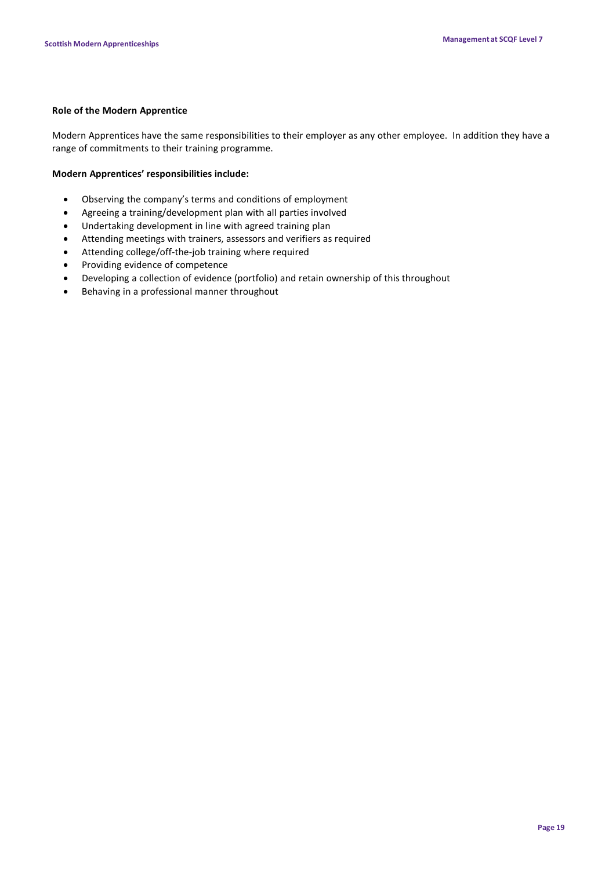### **Role of the Modern Apprentice**

Modern Apprentices have the same responsibilities to their employer as any other employee. In addition they have a range of commitments to their training programme.

### **Modern Apprentices' responsibilities include:**

- Observing the company's terms and conditions of employment
- Agreeing a training/development plan with all parties involved
- Undertaking development in line with agreed training plan
- Attending meetings with trainers, assessors and verifiers as required
- Attending college/off-the-job training where required
- Providing evidence of competence
- Developing a collection of evidence (portfolio) and retain ownership of this throughout
- Behaving in a professional manner throughout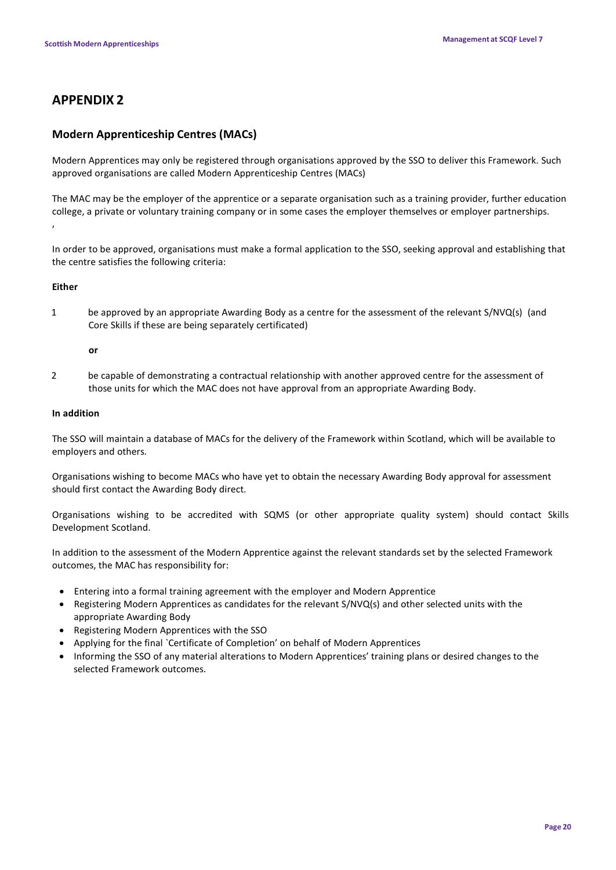# **APPENDIX 2**

## **Modern Apprenticeship Centres (MACs)**

Modern Apprentices may only be registered through organisations approved by the SSO to deliver this Framework. Such approved organisations are called Modern Apprenticeship Centres (MACs)

The MAC may be the employer of the apprentice or a separate organisation such as a training provider, further education college, a private or voluntary training company or in some cases the employer themselves or employer partnerships. ,

In order to be approved, organisations must make a formal application to the SSO, seeking approval and establishing that the centre satisfies the following criteria:

### **Either**

1 be approved by an appropriate Awarding Body as a centre for the assessment of the relevant S/NVQ(s) (and Core Skills if these are being separately certificated)

### **or**

2 be capable of demonstrating a contractual relationship with another approved centre for the assessment of those units for which the MAC does not have approval from an appropriate Awarding Body.

### **In addition**

The SSO will maintain a database of MACs for the delivery of the Framework within Scotland, which will be available to employers and others.

Organisations wishing to become MACs who have yet to obtain the necessary Awarding Body approval for assessment should first contact the Awarding Body direct.

Organisations wishing to be accredited with SQMS (or other appropriate quality system) should contact Skills Development Scotland.

In addition to the assessment of the Modern Apprentice against the relevant standards set by the selected Framework outcomes, the MAC has responsibility for:

- Entering into a formal training agreement with the employer and Modern Apprentice
- Registering Modern Apprentices as candidates for the relevant S/NVQ(s) and other selected units with the appropriate Awarding Body
- Registering Modern Apprentices with the SSO
- Applying for the final `Certificate of Completion' on behalf of Modern Apprentices
- Informing the SSO of any material alterations to Modern Apprentices' training plans or desired changes to the selected Framework outcomes.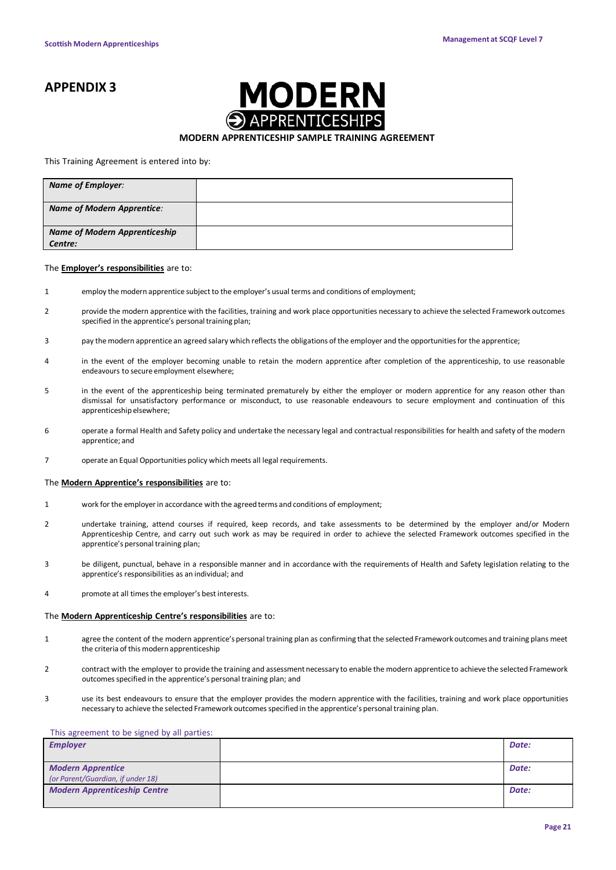# **APPENDIX 3**



### **MODERN APPRENTICESHIP SAMPLE TRAINING AGREEMENT**

#### This Training Agreement is entered into by:

| <b>Name of Employer:</b>                        |  |
|-------------------------------------------------|--|
| <b>Name of Modern Apprentice:</b>               |  |
| <b>Name of Modern Apprenticeship</b><br>Centre: |  |

#### The **Employer's responsibilities** are to:

- 1 employ the modern apprentice subject to the employer's usual terms and conditions of employment;
- 2 provide the modern apprentice with the facilities, training and work place opportunities necessary to achieve the selected Framework outcomes specified in the apprentice's personal training plan;
- 3 pay the modern apprentice an agreed salary which reflects the obligations of the employer and the opportunities for the apprentice;
- 4 in the event of the employer becoming unable to retain the modern apprentice after completion of the apprenticeship, to use reasonable endeavours to secure employment elsewhere;
- 5 in the event of the apprenticeship being terminated prematurely by either the employer or modern apprentice for any reason other than dismissal for unsatisfactory performance or misconduct, to use reasonable endeavours to secure employment and continuation of this apprenticeship elsewhere:
- 6 operate a formal Health and Safety policy and undertake the necessary legal and contractual responsibilities for health and safety of the modern apprentice; and
- 7 operate an Equal Opportunities policy which meets all legal requirements.

#### The **Modern Apprentice's responsibilities** are to:

- 1 work for the employerin accordance with the agreed terms and conditions of employment;
- 2 undertake training, attend courses if required, keep records, and take assessments to be determined by the employer and/or Modern Apprenticeship Centre, and carry out such work as may be required in order to achieve the selected Framework outcomes specified in the apprentice's personal training plan;
- 3 be diligent, punctual, behave in a responsible manner and in accordance with the requirements of Health and Safety legislation relating to the apprentice's responsibilities as an individual; and
- 4 promote at all timesthe employer's best interests.

#### The **Modern Apprenticeship Centre's responsibilities** are to:

- 1 agree the content of the modern apprentice'spersonal training plan as confirming that the selected Framework outcomes and training plans meet the criteria of this modern apprenticeship
- 2 contract with the employer to provide the training and assessment necessary to enable the modern apprentice to achieve the selected Framework outcomes specified in the apprentice's personal training plan; and
- 3 use its best endeavours to ensure that the employer provides the modern apprentice with the facilities, training and work place opportunities necessary to achieve the selected Framework outcomes specified in the apprentice's personal training plan.

#### This agreement to be signed by all parties:

| <b>Employer</b>                     | Date: |
|-------------------------------------|-------|
|                                     |       |
| <b>Modern Apprentice</b>            | Date: |
| (or Parent/Guardian, if under 18)   |       |
| <b>Modern Apprenticeship Centre</b> | Date: |
|                                     |       |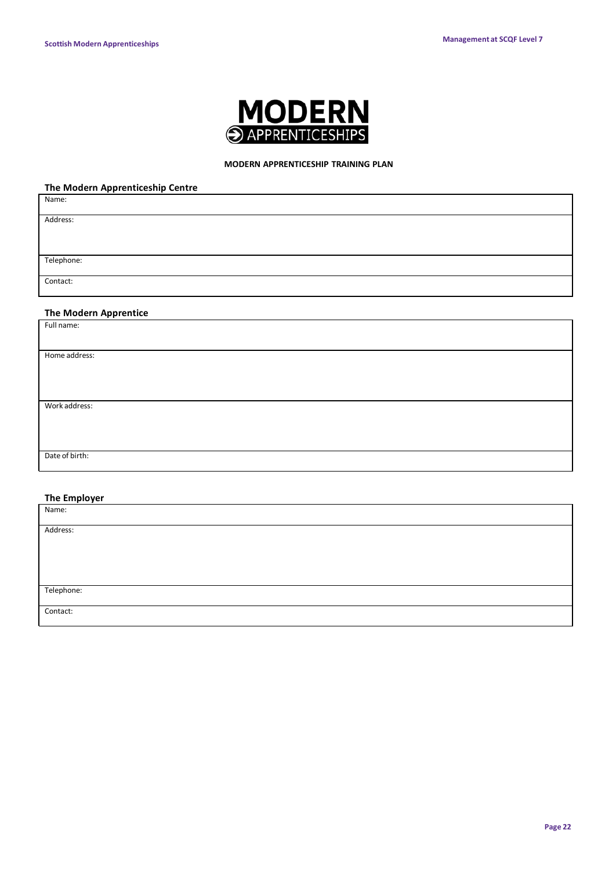

### **MODERN APPRENTICESHIP TRAINING PLAN**

### **The Modern Apprenticeship Centre**

| Name:                        |
|------------------------------|
| Address:                     |
|                              |
|                              |
| Telephone:                   |
| Contact:                     |
|                              |
| <b>The Modern Apprentice</b> |
| Full name:                   |
|                              |
| Home address:                |
|                              |
|                              |
|                              |
| Work address:                |
|                              |
|                              |
|                              |
| Date of birth:               |

### **The Employer**

| Name:      |  |
|------------|--|
|            |  |
| Address:   |  |
|            |  |
|            |  |
|            |  |
|            |  |
|            |  |
| Telephone: |  |
|            |  |
| Contact:   |  |
|            |  |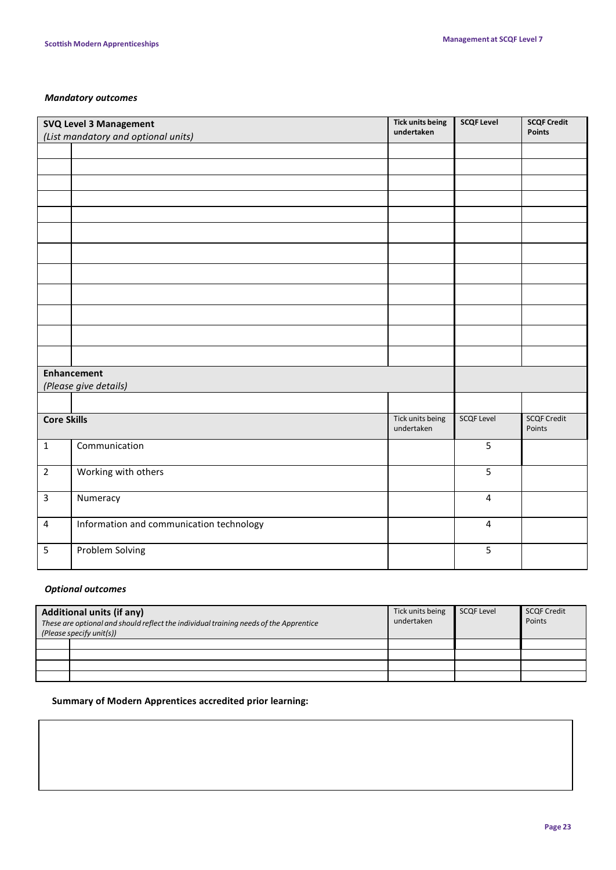### *Mandatory outcomes*

| SVQ Level 3 Management<br>(List mandatory and optional units) |                                          | <b>Tick units being</b><br>undertaken | <b>SCQF Level</b> | <b>SCQF Credit</b><br><b>Points</b> |
|---------------------------------------------------------------|------------------------------------------|---------------------------------------|-------------------|-------------------------------------|
|                                                               |                                          |                                       |                   |                                     |
|                                                               |                                          |                                       |                   |                                     |
|                                                               |                                          |                                       |                   |                                     |
|                                                               |                                          |                                       |                   |                                     |
|                                                               |                                          |                                       |                   |                                     |
|                                                               |                                          |                                       |                   |                                     |
|                                                               |                                          |                                       |                   |                                     |
|                                                               |                                          |                                       |                   |                                     |
|                                                               |                                          |                                       |                   |                                     |
|                                                               |                                          |                                       |                   |                                     |
|                                                               |                                          |                                       |                   |                                     |
|                                                               |                                          |                                       |                   |                                     |
| <b>Enhancement</b>                                            |                                          |                                       |                   |                                     |
| (Please give details)                                         |                                          |                                       |                   |                                     |
|                                                               |                                          |                                       |                   |                                     |
| <b>Core Skills</b>                                            |                                          | Tick units being<br>undertaken        | <b>SCQF Level</b> | <b>SCQF Credit</b><br>Points        |
| $\mathbf{1}$                                                  | Communication                            |                                       | 5                 |                                     |
| $\overline{2}$                                                | Working with others                      |                                       | 5                 |                                     |
| $\overline{3}$                                                | Numeracy                                 |                                       | $\overline{4}$    |                                     |
| $\overline{\mathbf{4}}$                                       | Information and communication technology |                                       | $\overline{4}$    |                                     |
| 5                                                             | Problem Solving                          |                                       | 5                 |                                     |

### *Optional outcomes*

| <b>Additional units (if any)</b><br>These are optional and should reflect the individual training needs of the Apprentice<br>(Please specify unit(s)) |  | Tick units being<br>undertaken | <b>SCQF Level</b> | <b>SCQF Credit</b><br>Points |
|-------------------------------------------------------------------------------------------------------------------------------------------------------|--|--------------------------------|-------------------|------------------------------|
|                                                                                                                                                       |  |                                |                   |                              |
|                                                                                                                                                       |  |                                |                   |                              |
|                                                                                                                                                       |  |                                |                   |                              |
|                                                                                                                                                       |  |                                |                   |                              |

### **Summary of Modern Apprentices accredited prior learning:**